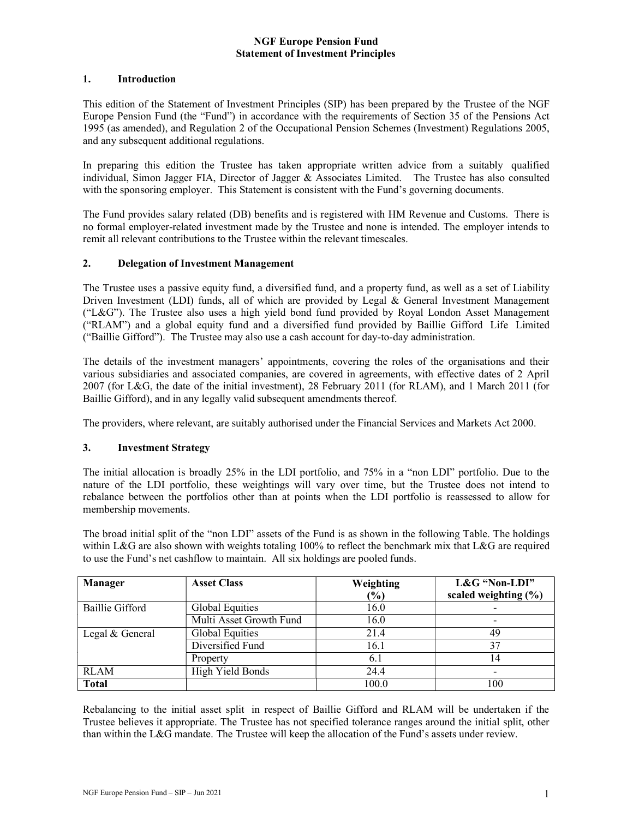#### 1. Introduction

This edition of the Statement of Investment Principles (SIP) has been prepared by the Trustee of the NGF Europe Pension Fund (the "Fund") in accordance with the requirements of Section 35 of the Pensions Act 1995 (as amended), and Regulation 2 of the Occupational Pension Schemes (Investment) Regulations 2005, and any subsequent additional regulations.

In preparing this edition the Trustee has taken appropriate written advice from a suitably qualified individual, Simon Jagger FIA, Director of Jagger & Associates Limited. The Trustee has also consulted with the sponsoring employer. This Statement is consistent with the Fund's governing documents.

The Fund provides salary related (DB) benefits and is registered with HM Revenue and Customs. There is no formal employer-related investment made by the Trustee and none is intended. The employer intends to remit all relevant contributions to the Trustee within the relevant timescales.

## 2. Delegation of Investment Management

The Trustee uses a passive equity fund, a diversified fund, and a property fund, as well as a set of Liability Driven Investment (LDI) funds, all of which are provided by Legal & General Investment Management ("L&G"). The Trustee also uses a high yield bond fund provided by Royal London Asset Management ("RLAM") and a global equity fund and a diversified fund provided by Baillie Gifford Life Limited ("Baillie Gifford"). The Trustee may also use a cash account for day-to-day administration.

The details of the investment managers' appointments, covering the roles of the organisations and their various subsidiaries and associated companies, are covered in agreements, with effective dates of 2 April 2007 (for L&G, the date of the initial investment), 28 February 2011 (for RLAM), and 1 March 2011 (for Baillie Gifford), and in any legally valid subsequent amendments thereof.

The providers, where relevant, are suitably authorised under the Financial Services and Markets Act 2000.

#### 3. Investment Strategy

The initial allocation is broadly 25% in the LDI portfolio, and 75% in a "non LDI" portfolio. Due to the nature of the LDI portfolio, these weightings will vary over time, but the Trustee does not intend to rebalance between the portfolios other than at points when the LDI portfolio is reassessed to allow for membership movements.

The broad initial split of the "non LDI" assets of the Fund is as shown in the following Table. The holdings within L&G are also shown with weights totaling 100% to reflect the benchmark mix that L&G are required to use the Fund's net cashflow to maintain. All six holdings are pooled funds.

| <b>Manager</b>  | <b>Asset Class</b>      | Weighting<br>(%) | L&G "Non-LDI"<br>scaled weighting $(\% )$ |
|-----------------|-------------------------|------------------|-------------------------------------------|
| Baillie Gifford | Global Equities         | 16.0             |                                           |
|                 | Multi Asset Growth Fund | 16.0             |                                           |
| Legal & General | Global Equities         | 21.4             | 49                                        |
|                 | Diversified Fund        | 16.1             | 37                                        |
|                 | Property                | 6.1              | 14                                        |
| <b>RLAM</b>     | High Yield Bonds        | 24.4             |                                           |
| <b>Total</b>    |                         | 100.0            | 100                                       |

Rebalancing to the initial asset split in respect of Baillie Gifford and RLAM will be undertaken if the Trustee believes it appropriate. The Trustee has not specified tolerance ranges around the initial split, other than within the L&G mandate. The Trustee will keep the allocation of the Fund's assets under review.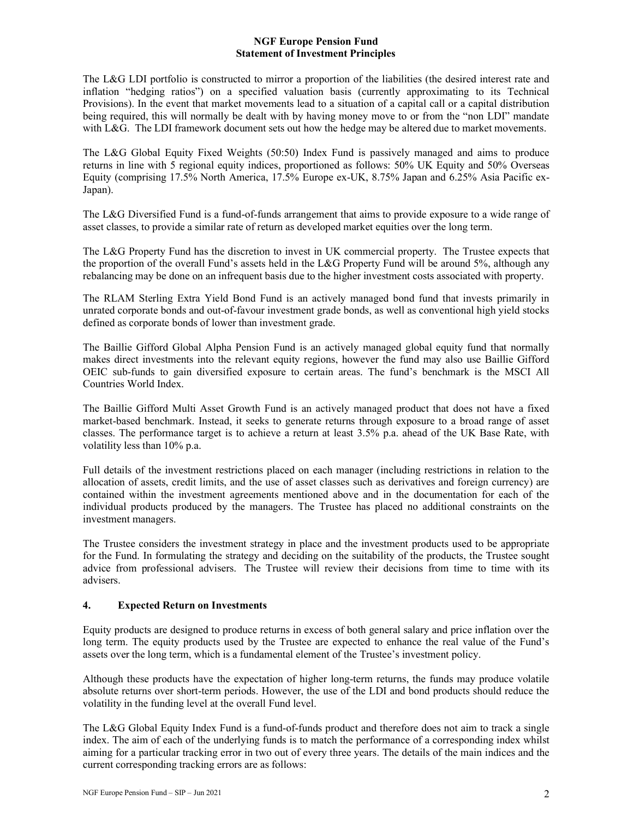The L&G LDI portfolio is constructed to mirror a proportion of the liabilities (the desired interest rate and inflation "hedging ratios") on a specified valuation basis (currently approximating to its Technical Provisions). In the event that market movements lead to a situation of a capital call or a capital distribution being required, this will normally be dealt with by having money move to or from the "non LDI" mandate with L&G. The LDI framework document sets out how the hedge may be altered due to market movements.

The L&G Global Equity Fixed Weights (50:50) Index Fund is passively managed and aims to produce returns in line with 5 regional equity indices, proportioned as follows: 50% UK Equity and 50% Overseas Equity (comprising 17.5% North America, 17.5% Europe ex-UK, 8.75% Japan and 6.25% Asia Pacific ex-Japan).

The L&G Diversified Fund is a fund-of-funds arrangement that aims to provide exposure to a wide range of asset classes, to provide a similar rate of return as developed market equities over the long term.

The L&G Property Fund has the discretion to invest in UK commercial property. The Trustee expects that the proportion of the overall Fund's assets held in the L&G Property Fund will be around 5%, although any rebalancing may be done on an infrequent basis due to the higher investment costs associated with property.

The RLAM Sterling Extra Yield Bond Fund is an actively managed bond fund that invests primarily in unrated corporate bonds and out-of-favour investment grade bonds, as well as conventional high yield stocks defined as corporate bonds of lower than investment grade.

The Baillie Gifford Global Alpha Pension Fund is an actively managed global equity fund that normally makes direct investments into the relevant equity regions, however the fund may also use Baillie Gifford OEIC sub-funds to gain diversified exposure to certain areas. The fund's benchmark is the MSCI All Countries World Index.

The Baillie Gifford Multi Asset Growth Fund is an actively managed product that does not have a fixed market-based benchmark. Instead, it seeks to generate returns through exposure to a broad range of asset classes. The performance target is to achieve a return at least 3.5% p.a. ahead of the UK Base Rate, with volatility less than 10% p.a.

Full details of the investment restrictions placed on each manager (including restrictions in relation to the allocation of assets, credit limits, and the use of asset classes such as derivatives and foreign currency) are contained within the investment agreements mentioned above and in the documentation for each of the individual products produced by the managers. The Trustee has placed no additional constraints on the investment managers.

The Trustee considers the investment strategy in place and the investment products used to be appropriate for the Fund. In formulating the strategy and deciding on the suitability of the products, the Trustee sought advice from professional advisers. The Trustee will review their decisions from time to time with its advisers.

# 4. Expected Return on Investments

Equity products are designed to produce returns in excess of both general salary and price inflation over the long term. The equity products used by the Trustee are expected to enhance the real value of the Fund's assets over the long term, which is a fundamental element of the Trustee's investment policy.

Although these products have the expectation of higher long-term returns, the funds may produce volatile absolute returns over short-term periods. However, the use of the LDI and bond products should reduce the volatility in the funding level at the overall Fund level.

The L&G Global Equity Index Fund is a fund-of-funds product and therefore does not aim to track a single index. The aim of each of the underlying funds is to match the performance of a corresponding index whilst aiming for a particular tracking error in two out of every three years. The details of the main indices and the current corresponding tracking errors are as follows: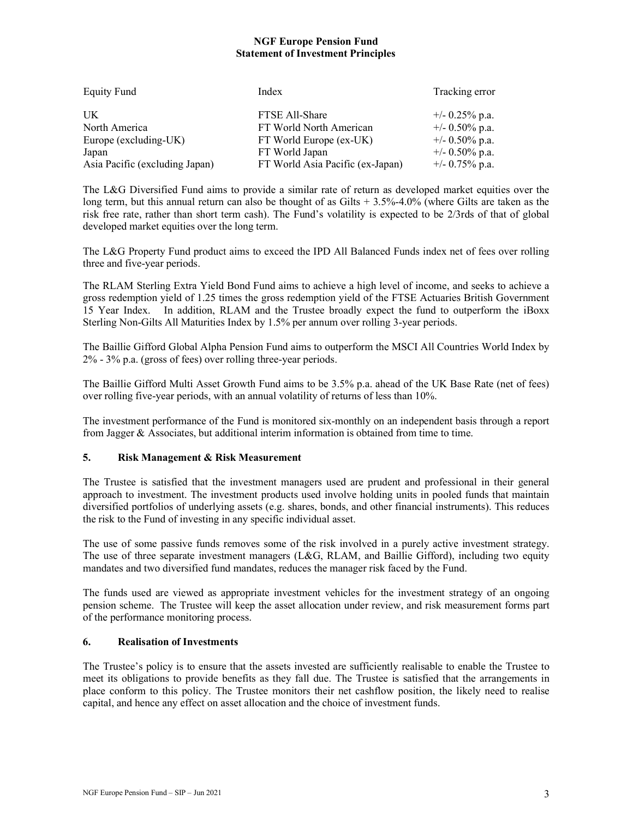| <b>Equity Fund</b>             | Index                            | Tracking error    |
|--------------------------------|----------------------------------|-------------------|
| UK.                            | FTSE All-Share                   | $+/- 0.25\%$ p.a. |
| North America                  | FT World North American          | $+/- 0.50\%$ p.a. |
| Europe (excluding-UK)          | FT World Europe (ex-UK)          | $+/- 0.50\%$ p.a. |
| Japan                          | FT World Japan                   | $+/- 0.50\%$ p.a. |
| Asia Pacific (excluding Japan) | FT World Asia Pacific (ex-Japan) | $+/- 0.75\%$ p.a. |

The L&G Diversified Fund aims to provide a similar rate of return as developed market equities over the long term, but this annual return can also be thought of as Gilts + 3.5%-4.0% (where Gilts are taken as the risk free rate, rather than short term cash). The Fund's volatility is expected to be 2/3rds of that of global developed market equities over the long term.

The L&G Property Fund product aims to exceed the IPD All Balanced Funds index net of fees over rolling three and five-year periods.

The RLAM Sterling Extra Yield Bond Fund aims to achieve a high level of income, and seeks to achieve a gross redemption yield of 1.25 times the gross redemption yield of the FTSE Actuaries British Government 15 Year Index. In addition, RLAM and the Trustee broadly expect the fund to outperform the iBoxx Sterling Non-Gilts All Maturities Index by 1.5% per annum over rolling 3-year periods.

The Baillie Gifford Global Alpha Pension Fund aims to outperform the MSCI All Countries World Index by 2% - 3% p.a. (gross of fees) over rolling three-year periods.

The Baillie Gifford Multi Asset Growth Fund aims to be 3.5% p.a. ahead of the UK Base Rate (net of fees) over rolling five-year periods, with an annual volatility of returns of less than 10%.

The investment performance of the Fund is monitored six-monthly on an independent basis through a report from Jagger & Associates, but additional interim information is obtained from time to time.

#### 5. Risk Management & Risk Measurement

The Trustee is satisfied that the investment managers used are prudent and professional in their general approach to investment. The investment products used involve holding units in pooled funds that maintain diversified portfolios of underlying assets (e.g. shares, bonds, and other financial instruments). This reduces the risk to the Fund of investing in any specific individual asset.

The use of some passive funds removes some of the risk involved in a purely active investment strategy. The use of three separate investment managers (L&G, RLAM, and Baillie Gifford), including two equity mandates and two diversified fund mandates, reduces the manager risk faced by the Fund.

The funds used are viewed as appropriate investment vehicles for the investment strategy of an ongoing pension scheme. The Trustee will keep the asset allocation under review, and risk measurement forms part of the performance monitoring process.

#### 6. Realisation of Investments

The Trustee's policy is to ensure that the assets invested are sufficiently realisable to enable the Trustee to meet its obligations to provide benefits as they fall due. The Trustee is satisfied that the arrangements in place conform to this policy. The Trustee monitors their net cashflow position, the likely need to realise capital, and hence any effect on asset allocation and the choice of investment funds.